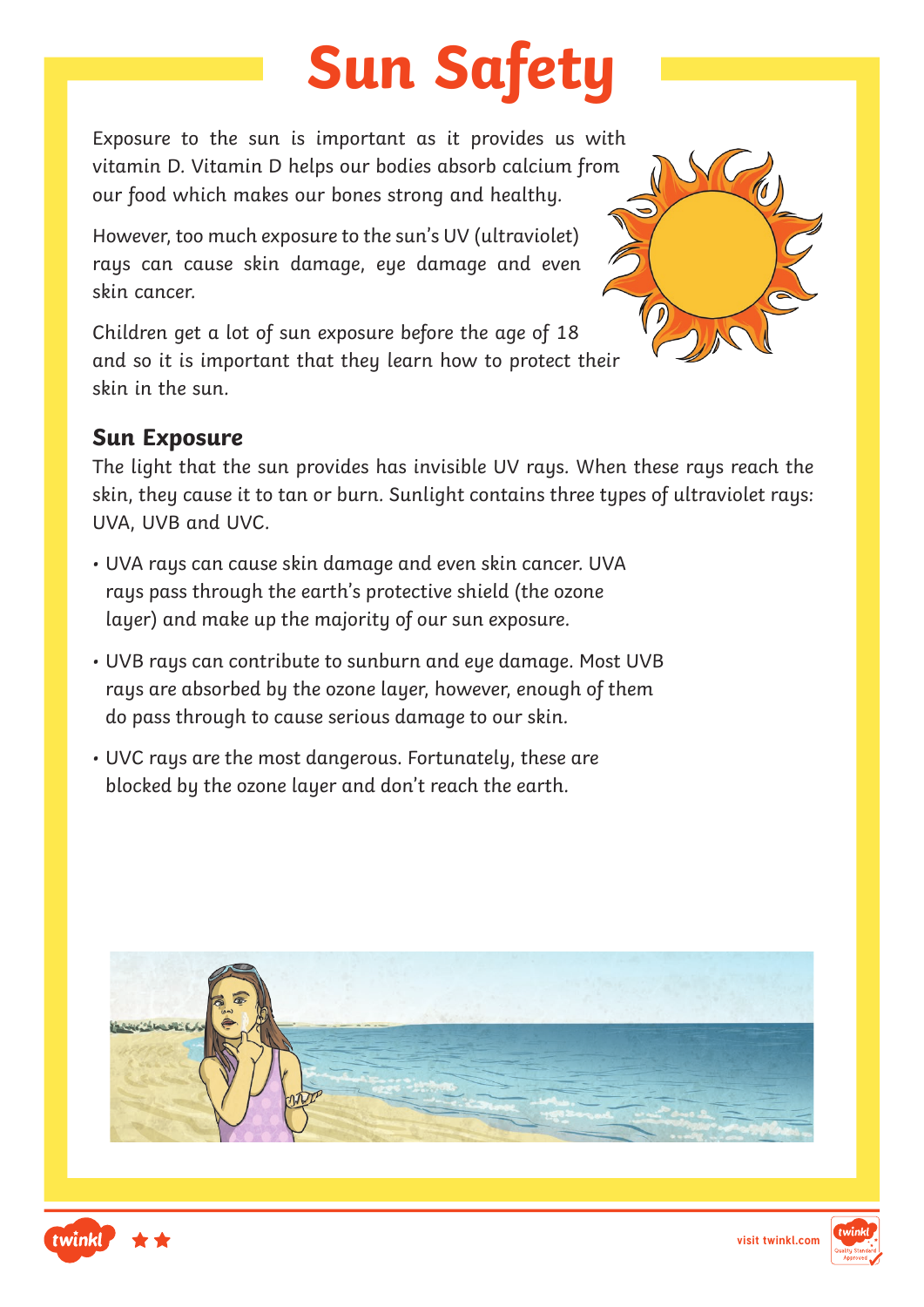# **Sun Safety**

Exposure to the sun is important as it provides us with vitamin D. Vitamin D helps our bodies absorb calcium from our food which makes our bones strong and healthy.

However, too much exposure to the sun's UV (ultraviolet) rays can cause skin damage, eye damage and even skin cancer.

Children get a lot of sun exposure before the age of 18 and so it is important that they learn how to protect their skin in the sun.

### **Sun Exposure**

The light that the sun provides has invisible UV rays. When these rays reach the skin, they cause it to tan or burn. Sunlight contains three types of ultraviolet rays: UVA, UVB and UVC.

- UVA rays can cause skin damage and even skin cancer. UVA rays pass through the earth's protective shield (the ozone layer) and make up the majority of our sun exposure.
- UVB rays can contribute to sunburn and eye damage. Most UVB rays are absorbed by the ozone layer, however, enough of them do pass through to cause serious damage to our skin.
- UVC rays are the most dangerous. Fortunately, these are blocked by the ozone layer and don't reach the earth.







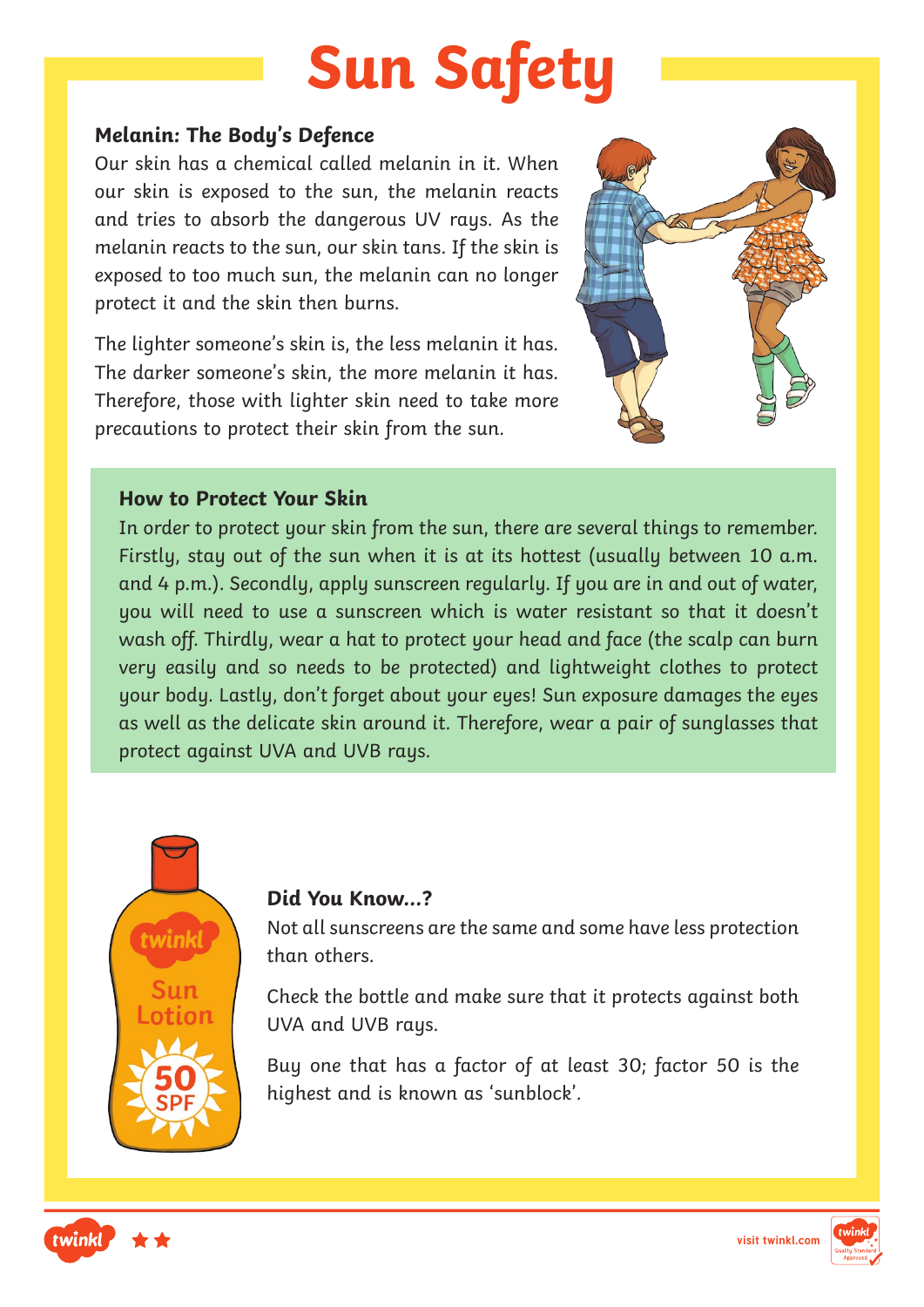# **Sun Safety**

### **Melanin: The Body's Defence**

Our skin has a chemical called melanin in it. When our skin is exposed to the sun, the melanin reacts and tries to absorb the dangerous UV rays. As the melanin reacts to the sun, our skin tans. If the skin is exposed to too much sun, the melanin can no longer protect it and the skin then burns.

The lighter someone's skin is, the less melanin it has. The darker someone's skin, the more melanin it has. Therefore, those with lighter skin need to take more precautions to protect their skin from the sun.



### **How to Protect Your Skin**

In order to protect your skin from the sun, there are several things to remember. Firstly, stay out of the sun when it is at its hottest (usually between 10 a.m. and 4 p.m.). Secondly, apply sunscreen regularly. If you are in and out of water, you will need to use a sunscreen which is water resistant so that it doesn't wash off. Thirdly, wear a hat to protect your head and face (the scalp can burn very easily and so needs to be protected) and lightweight clothes to protect your body. Lastly, don't forget about your eyes! Sun exposure damages the eyes as well as the delicate skin around it. Therefore, wear a pair of sunglasses that protect against UVA and UVB rays.



### **Did You Know…?**

Not all sunscreens are the same and some have less protection than others.

Check the bottle and make sure that it protects against both UVA and UVB rays.

Buy one that has a factor of at least 30; factor 50 is the highest and is known as 'sunblock'.



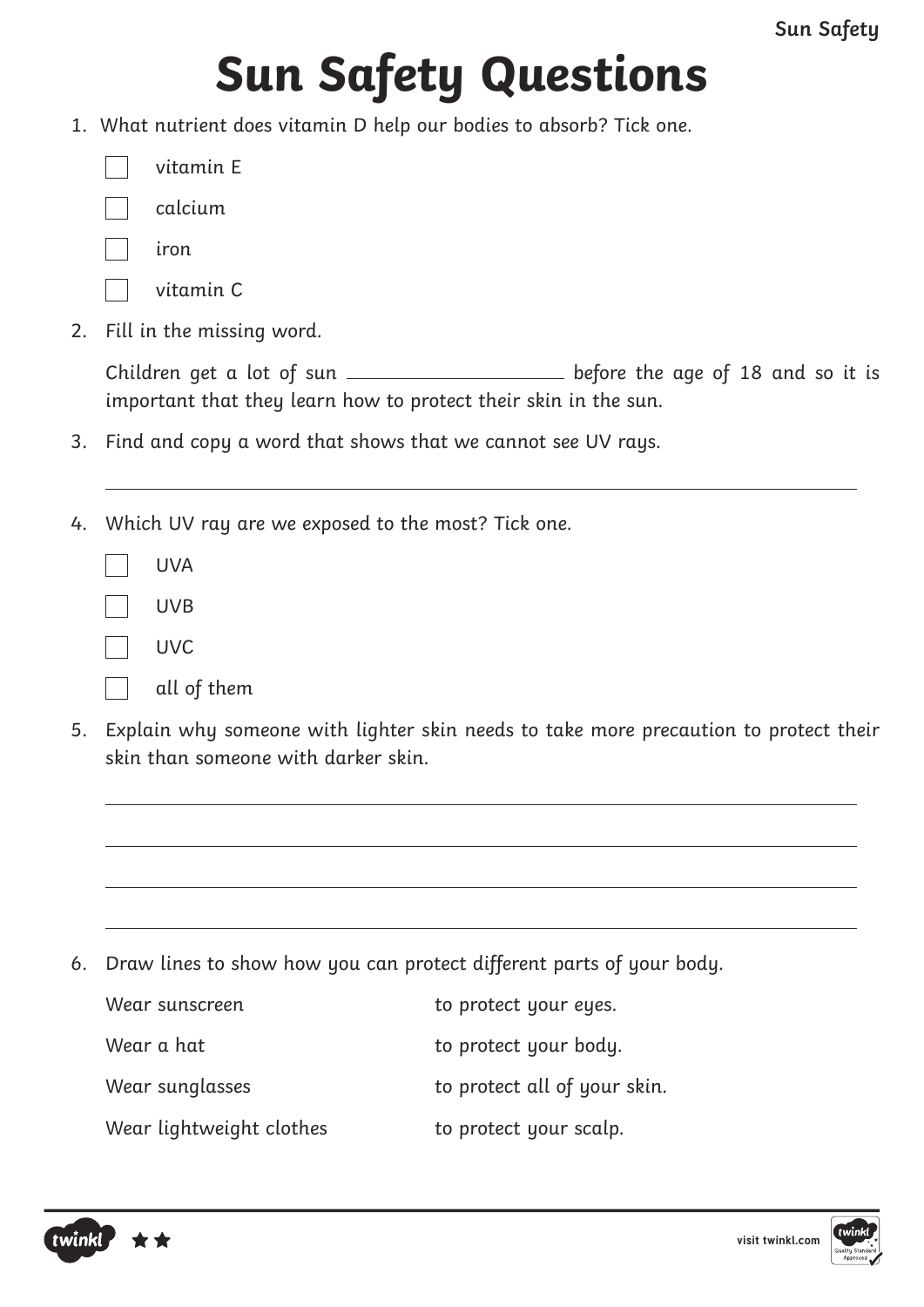# **Sun Safety Questions**

1. What nutrient does vitamin D help our bodies to absorb? Tick one.

| vitamin E |  |
|-----------|--|
|-----------|--|

- calcium
- iron
	- vitamin C
- 2. Fill in the missing word.

Children get a lot of sun \_\_\_\_\_\_\_\_\_\_\_\_\_\_\_\_\_\_\_\_\_\_ before the age of 18 and so it is important that they learn how to protect their skin in the sun.

- 3. Find and copy a word that shows that we cannot see UV rays.
- 4. Which UV ray are we exposed to the most? Tick one.

| UVA         |
|-------------|
| <b>UVB</b>  |
| UVC         |
| all of them |

5. Explain why someone with lighter skin needs to take more precaution to protect their skin than someone with darker skin.

6. Draw lines to show how you can protect different parts of your body.

| Wear sunscreen           | to protect your eyes.        |
|--------------------------|------------------------------|
| Wear a hat               | to protect your body.        |
| Wear sunglasses          | to protect all of your skin. |
| Wear lightweight clothes | to protect your scalp.       |



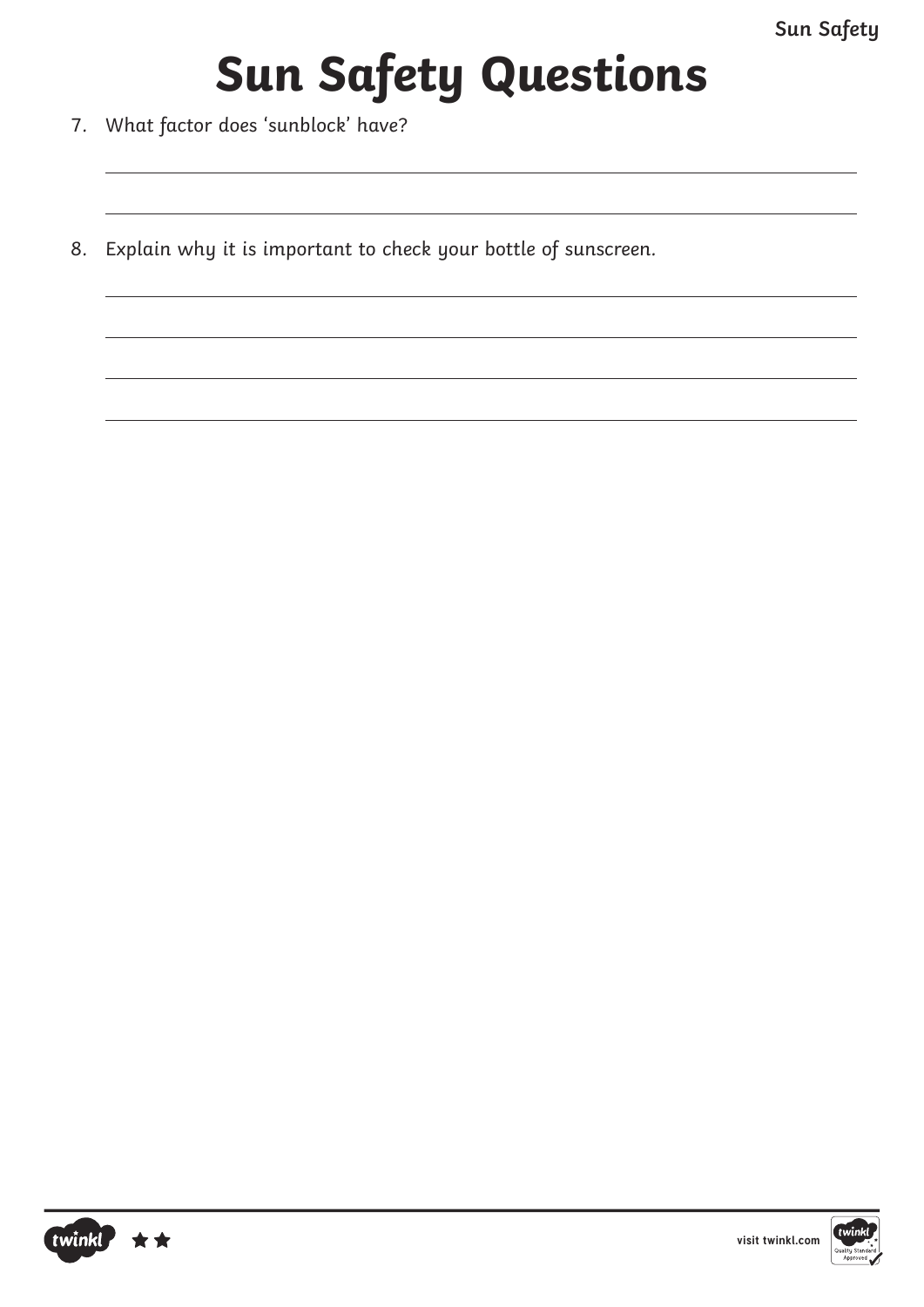## **Sun Safety Questions**

- 7. What factor does 'sunblock' have?
- 8. Explain why it is important to check your bottle of sunscreen.

twinkl

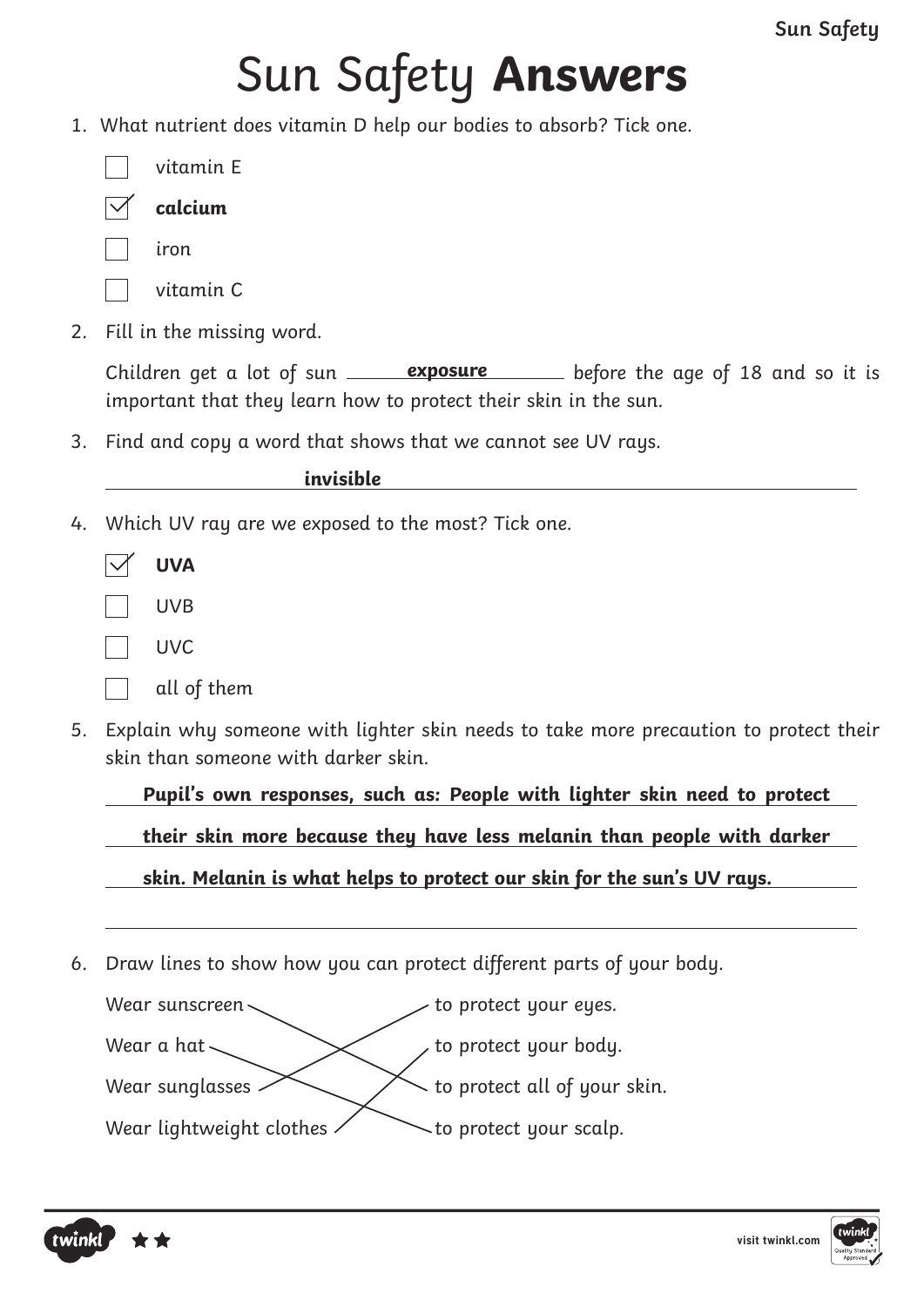## Sun Safety **Answers**

1. What nutrient does vitamin D help our bodies to absorb? Tick one.

itamin F

- **calcium**
- iron
	- vitamin C
- 2. Fill in the missing word.

Children get a lot of sun <u>exposure</u> before the age of 18 and so it is important that they learn how to protect their skin in the sun.

3. Find and copy a word that shows that we cannot see UV rays.

**invisible**

4. Which UV ray are we exposed to the most? Tick one.

| <b>UVA</b>  |
|-------------|
| <b>UVB</b>  |
| UVC         |
| all of them |

5. Explain why someone with lighter skin needs to take more precaution to protect their skin than someone with darker skin.

**Pupil's own responses, such as: People with lighter skin need to protect** 

**their skin more because they have less melanin than people with darker** 

**skin. Melanin is what helps to protect our skin for the sun's UV rays.**

6. Draw lines to show how you can protect different parts of your body.